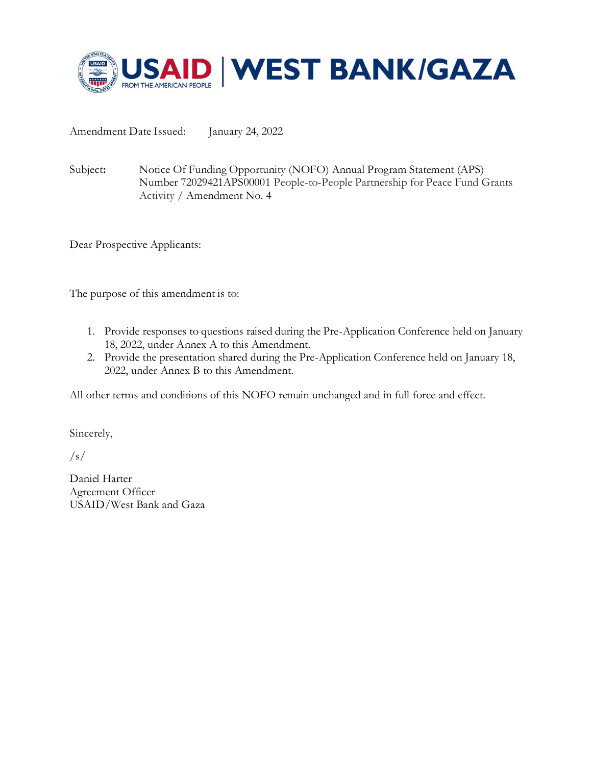

Amendment Date Issued: January 24, 2022

Subject**:** Notice Of Funding Opportunity (NOFO) Annual Program Statement (APS) Number 72029421APS00001 People-to-People Partnership for Peace Fund Grants Activity / Amendment No. 4

Dear Prospective Applicants:

The purpose of this amendment is to:

- 1. Provide responses to questions raised during the Pre-Application Conference held on January 18, 2022, under Annex A to this Amendment.
- 2. Provide the presentation shared during the Pre-Application Conference held on January 18, 2022, under Annex B to this Amendment.

All other terms and conditions of this NOFO remain unchanged and in full force and effect.

Sincerely,

 $/s/$ 

Daniel Harter Agreement Officer USAID/West Bank and Gaza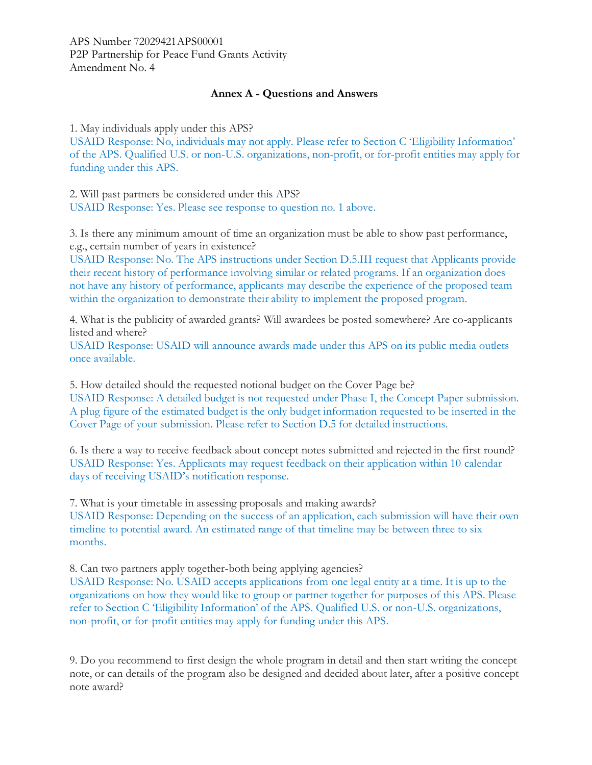## **Annex A - Questions and Answers**

1. May individuals apply under this APS?

USAID Response: No, individuals may not apply. Please refer to Section C 'Eligibility Information' of the APS. Qualified U.S. or non-U.S. organizations, non-profit, or for-profit entities may apply for funding under this APS.

2. Will past partners be considered under this APS? USAID Response: Yes. Please see response to question no. 1 above.

3. Is there any minimum amount of time an organization must be able to show past performance, e.g., certain number of years in existence?

USAID Response: No. The APS instructions under Section D.5.III request that Applicants provide their recent history of performance involving similar or related programs. If an organization does not have any history of performance, applicants may describe the experience of the proposed team within the organization to demonstrate their ability to implement the proposed program.

4. What is the publicity of awarded grants? Will awardees be posted somewhere? Are co-applicants listed and where?

USAID Response: USAID will announce awards made under this APS on its public media outlets once available.

5. How detailed should the requested notional budget on the Cover Page be? USAID Response: A detailed budget is not requested under Phase I, the Concept Paper submission. A plug figure of the estimated budget is the only budget information requested to be inserted in the Cover Page of your submission. Please refer to Section D.5 for detailed instructions.

6. Is there a way to receive feedback about concept notes submitted and rejected in the first round? USAID Response: Yes. Applicants may request feedback on their application within 10 calendar days of receiving USAID's notification response.

7. What is your timetable in assessing proposals and making awards?

USAID Response: Depending on the success of an application, each submission will have their own timeline to potential award. An estimated range of that timeline may be between three to six months.

8. Can two partners apply together-both being applying agencies?

USAID Response: No. USAID accepts applications from one legal entity at a time. It is up to the organizations on how they would like to group or partner together for purposes of this APS. Please refer to Section C 'Eligibility Information' of the APS. Qualified U.S. or non-U.S. organizations, non-profit, or for-profit entities may apply for funding under this APS.

9. Do you recommend to first design the whole program in detail and then start writing the concept note, or can details of the program also be designed and decided about later, after a positive concept note award?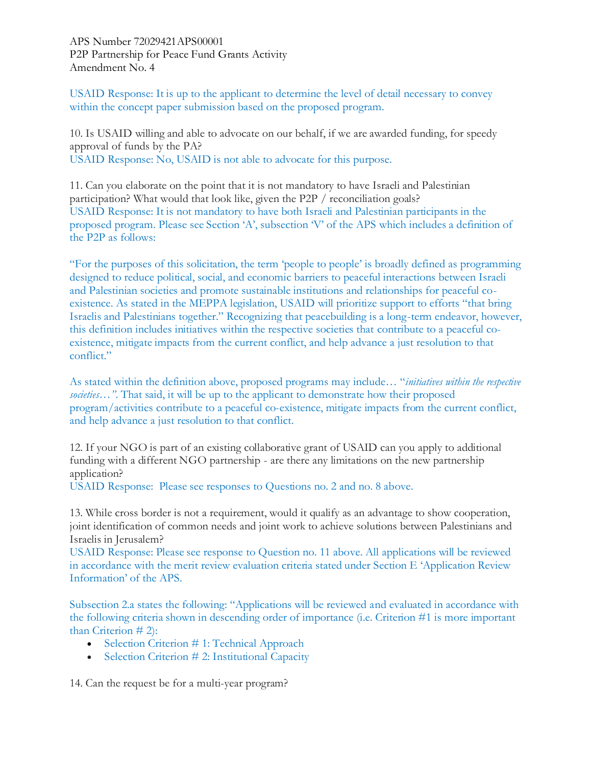USAID Response: It is up to the applicant to determine the level of detail necessary to convey within the concept paper submission based on the proposed program.

10. Is USAID willing and able to advocate on our behalf, if we are awarded funding, for speedy approval of funds by the PA? USAID Response: No, USAID is not able to advocate for this purpose.

11. Can you elaborate on the point that it is not mandatory to have Israeli and Palestinian participation? What would that look like, given the P2P / reconciliation goals? USAID Response: It is not mandatory to have both Israeli and Palestinian participants in the proposed program. Please see Section 'A', subsection 'V' of the APS which includes a definition of the P2P as follows:

"For the purposes of this solicitation, the term 'people to people' is broadly defined as programming designed to reduce political, social, and economic barriers to peaceful interactions between Israeli and Palestinian societies and promote sustainable institutions and relationships for peaceful coexistence. As stated in the MEPPA legislation, USAID will prioritize support to efforts "that bring Israelis and Palestinians together." Recognizing that peacebuilding is a long-term endeavor, however, this definition includes initiatives within the respective societies that contribute to a peaceful coexistence, mitigate impacts from the current conflict, and help advance a just resolution to that conflict."

As stated within the definition above, proposed programs may include… "*initiatives within the respective societies…"*. That said, it will be up to the applicant to demonstrate how their proposed program/activities contribute to a peaceful co-existence, mitigate impacts from the current conflict, and help advance a just resolution to that conflict.

12. If your NGO is part of an existing collaborative grant of USAID can you apply to additional funding with a different NGO partnership - are there any limitations on the new partnership application?

USAID Response: Please see responses to Questions no. 2 and no. 8 above.

13. While cross border is not a requirement, would it qualify as an advantage to show cooperation, joint identification of common needs and joint work to achieve solutions between Palestinians and Israelis in Jerusalem?

USAID Response: Please see response to Question no. 11 above. All applications will be reviewed in accordance with the merit review evaluation criteria stated under Section E 'Application Review Information' of the APS.

Subsection 2.a states the following: "Applications will be reviewed and evaluated in accordance with the following criteria shown in descending order of importance (i.e. Criterion #1 is more important than Criterion # 2):

- Selection Criterion # 1: Technical Approach
- Selection Criterion # 2: Institutional Capacity

14. Can the request be for a multi-year program?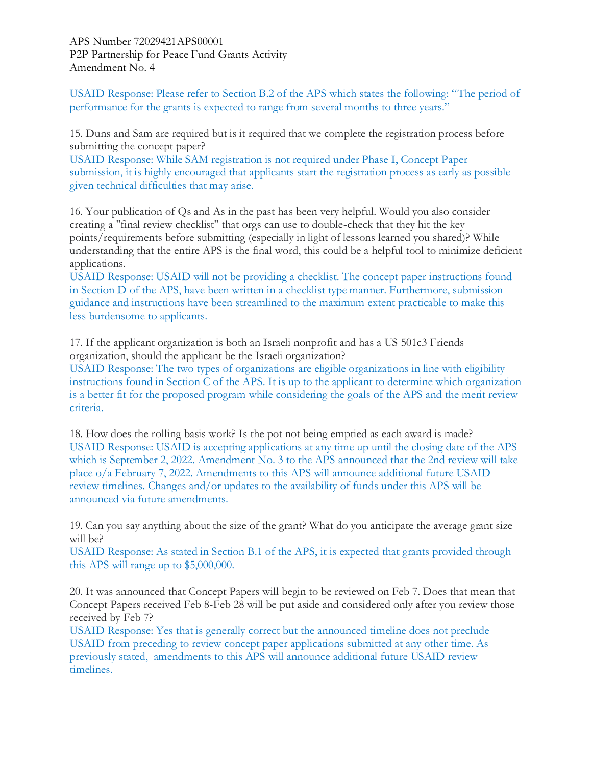USAID Response: Please refer to Section B.2 of the APS which states the following: "The period of performance for the grants is expected to range from several months to three years."

15. Duns and Sam are required but is it required that we complete the registration process before submitting the concept paper?

USAID Response: While SAM registration is not required under Phase I, Concept Paper submission, it is highly encouraged that applicants start the registration process as early as possible given technical difficulties that may arise.

16. Your publication of Qs and As in the past has been very helpful. Would you also consider creating a "final review checklist" that orgs can use to double-check that they hit the key points/requirements before submitting (especially in light of lessons learned you shared)? While understanding that the entire APS is the final word, this could be a helpful tool to minimize deficient applications.

USAID Response: USAID will not be providing a checklist. The concept paper instructions found in Section D of the APS, have been written in a checklist type manner. Furthermore, submission guidance and instructions have been streamlined to the maximum extent practicable to make this less burdensome to applicants.

17. If the applicant organization is both an Israeli nonprofit and has a US 501c3 Friends organization, should the applicant be the Israeli organization?

USAID Response: The two types of organizations are eligible organizations in line with eligibility instructions found in Section C of the APS. It is up to the applicant to determine which organization is a better fit for the proposed program while considering the goals of the APS and the merit review criteria.

18. How does the rolling basis work? Is the pot not being emptied as each award is made? USAID Response: USAID is accepting applications at any time up until the closing date of the APS which is September 2, 2022. Amendment No. 3 to the APS announced that the 2nd review will take place o/a February 7, 2022. Amendments to this APS will announce additional future USAID review timelines. Changes and/or updates to the availability of funds under this APS will be announced via future amendments.

19. Can you say anything about the size of the grant? What do you anticipate the average grant size will be?

USAID Response: As stated in Section B.1 of the APS, it is expected that grants provided through this APS will range up to \$5,000,000.

20. It was announced that Concept Papers will begin to be reviewed on Feb 7. Does that mean that Concept Papers received Feb 8-Feb 28 will be put aside and considered only after you review those received by Feb 7?

USAID Response: Yes that is generally correct but the announced timeline does not preclude USAID from preceding to review concept paper applications submitted at any other time. As previously stated, amendments to this APS will announce additional future USAID review timelines.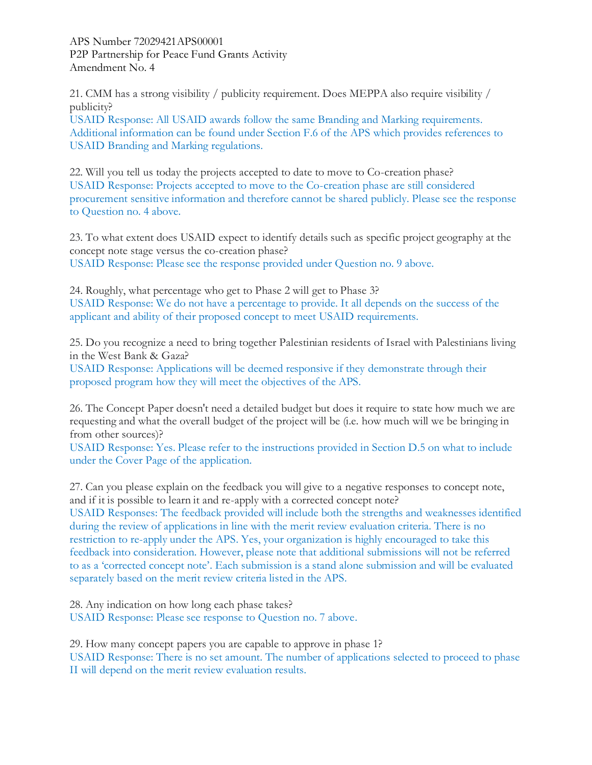21. CMM has a strong visibility / publicity requirement. Does MEPPA also require visibility / publicity?

USAID Response: All USAID awards follow the same Branding and Marking requirements. Additional information can be found under Section F.6 of the APS which provides references to USAID Branding and Marking regulations.

22. Will you tell us today the projects accepted to date to move to Co-creation phase? USAID Response: Projects accepted to move to the Co-creation phase are still considered procurement sensitive information and therefore cannot be shared publicly. Please see the response to Question no. 4 above.

23. To what extent does USAID expect to identify details such as specific project geography at the concept note stage versus the co-creation phase? USAID Response: Please see the response provided under Question no. 9 above.

24. Roughly, what percentage who get to Phase 2 will get to Phase 3? USAID Response: We do not have a percentage to provide. It all depends on the success of the applicant and ability of their proposed concept to meet USAID requirements.

25. Do you recognize a need to bring together Palestinian residents of Israel with Palestinians living in the West Bank & Gaza?

USAID Response: Applications will be deemed responsive if they demonstrate through their proposed program how they will meet the objectives of the APS.

26. The Concept Paper doesn't need a detailed budget but does it require to state how much we are requesting and what the overall budget of the project will be (i.e. how much will we be bringing in from other sources)?

USAID Response: Yes. Please refer to the instructions provided in Section D.5 on what to include under the Cover Page of the application.

27. Can you please explain on the feedback you will give to a negative responses to concept note, and if it is possible to learn it and re-apply with a corrected concept note?

USAID Responses: The feedback provided will include both the strengths and weaknesses identified during the review of applications in line with the merit review evaluation criteria. There is no restriction to re-apply under the APS. Yes, your organization is highly encouraged to take this feedback into consideration. However, please note that additional submissions will not be referred to as a 'corrected concept note'. Each submission is a stand alone submission and will be evaluated separately based on the merit review criteria listed in the APS.

28. Any indication on how long each phase takes? USAID Response: Please see response to Question no. 7 above.

29. How many concept papers you are capable to approve in phase 1? USAID Response: There is no set amount. The number of applications selected to proceed to phase II will depend on the merit review evaluation results.